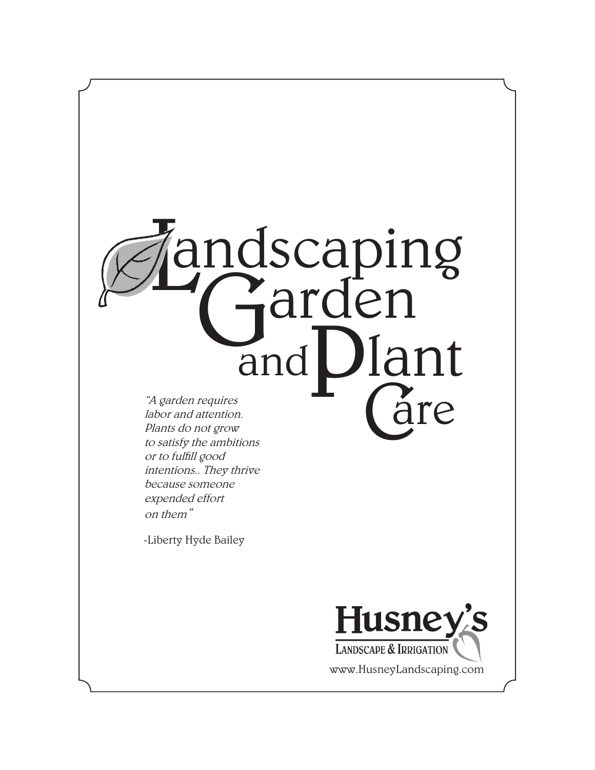

Plants do not grow to satisfy the ambitions or to fulfill good intentions.. They thrive because someone expended effort on them"

-Liberty Hyde Bailey



www.HusneyLandscaping.com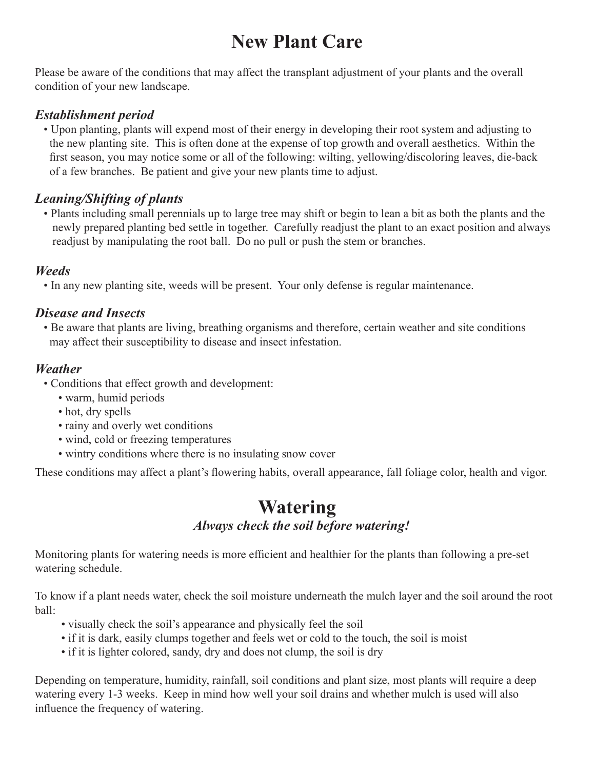# **New Plant Care**

Please be aware of the conditions that may affect the transplant adjustment of your plants and the overall condition of your new landscape.

#### *Establishment period*

 • Upon planting, plants will expend most of their energy in developing their root system and adjusting to the new planting site. This is often done at the expense of top growth and overall aesthetics. Within the first season, you may notice some or all of the following: wilting, yellowing/discoloring leaves, die-back of a few branches. Be patient and give your new plants time to adjust.

### *Leaning/Shifting of plants*

 • Plants including small perennials up to large tree may shift or begin to lean a bit as both the plants and the newly prepared planting bed settle in together. Carefully readjust the plant to an exact position and always readjust by manipulating the root ball. Do no pull or push the stem or branches.

#### *Weeds*

• In any new planting site, weeds will be present. Your only defense is regular maintenance.

#### *Disease and Insects*

 • Be aware that plants are living, breathing organisms and therefore, certain weather and site conditions may affect their susceptibility to disease and insect infestation.

#### *Weather*

- Conditions that effect growth and development:
	- warm, humid periods
	- hot, dry spells
	- rainy and overly wet conditions
	- wind, cold or freezing temperatures
	- wintry conditions where there is no insulating snow cover

These conditions may affect a plant's flowering habits, overall appearance, fall foliage color, health and vigor.

### **Watering***Always check the soil before watering!*

Monitoring plants for watering needs is more efficient and healthier for the plants than following a pre-set watering schedule.

To know if a plant needs water, check the soil moisture underneath the mulch layer and the soil around the root ball:

- visually check the soil's appearance and physically feel the soil
- if it is dark, easily clumps together and feels wet or cold to the touch, the soil is moist
- if it is lighter colored, sandy, dry and does not clump, the soil is dry

Depending on temperature, humidity, rainfall, soil conditions and plant size, most plants will require a deep watering every 1-3 weeks. Keep in mind how well your soil drains and whether mulch is used will also influence the frequency of watering.